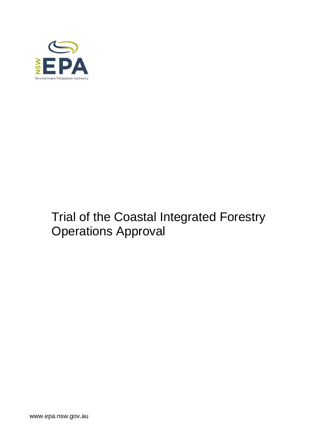

# Trial of the Coastal Integrated Forestry Operations Approval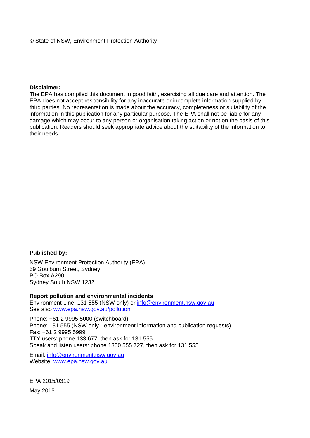#### © State of NSW, Environment Protection Authority

#### **Disclaimer:**

The EPA has compiled this document in good faith, exercising all due care and attention. The EPA does not accept responsibility for any inaccurate or incomplete information supplied by third parties. No representation is made about the accuracy, completeness or suitability of the information in this publication for any particular purpose. The EPA shall not be liable for any damage which may occur to any person or organisation taking action or not on the basis of this publication. Readers should seek appropriate advice about the suitability of the information to their needs.

#### **Published by:**

NSW Environment Protection Authority (EPA) 59 Goulburn Street, Sydney PO Box A290 Sydney South NSW 1232

#### **Report pollution and environmental incidents**

Environment Line: 131 555 (NSW only) or info@environment.nsw.gov.au See also www.epa.nsw.gov.au/pollution

Phone: +61 2 9995 5000 (switchboard) Phone: 131 555 (NSW only - environment information and publication requests) Fax: +61 2 9995 5999 TTY users: phone 133 677, then ask for 131 555 Speak and listen users: phone 1300 555 727, then ask for 131 555

Email: info@environment.nsw.gov.au Website: www.epa.nsw.gov.au

EPA 2015/0319 May 2015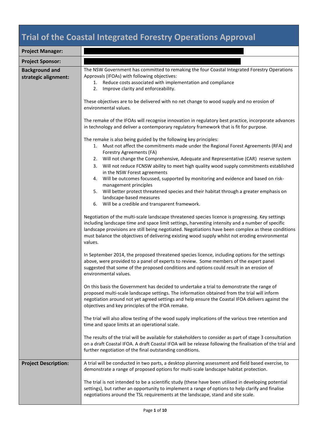## **Trial of the Coastal Integrated Forestry Operations Approval**

| <b>Project Manager:</b>                       |                                                                                                                                                                                                                                                                                                                                                                                                                                                                                                                                                                                                                                          |  |  |  |
|-----------------------------------------------|------------------------------------------------------------------------------------------------------------------------------------------------------------------------------------------------------------------------------------------------------------------------------------------------------------------------------------------------------------------------------------------------------------------------------------------------------------------------------------------------------------------------------------------------------------------------------------------------------------------------------------------|--|--|--|
| <b>Project Sponsor:</b>                       |                                                                                                                                                                                                                                                                                                                                                                                                                                                                                                                                                                                                                                          |  |  |  |
| <b>Background and</b><br>strategic alignment: | The NSW Government has committed to remaking the four Coastal Integrated Forestry Operations<br>Approvals (IFOAs) with following objectives:<br>Reduce costs associated with implementation and compliance<br>1.<br>2.<br>Improve clarity and enforceability.                                                                                                                                                                                                                                                                                                                                                                            |  |  |  |
|                                               | These objectives are to be delivered with no net change to wood supply and no erosion of<br>environmental values.                                                                                                                                                                                                                                                                                                                                                                                                                                                                                                                        |  |  |  |
|                                               | The remake of the IFOAs will recognise innovation in regulatory best practice, incorporate advances<br>in technology and deliver a contemporary regulatory framework that is fit for purpose.                                                                                                                                                                                                                                                                                                                                                                                                                                            |  |  |  |
|                                               | The remake is also being guided by the following key principles:<br>1. Must not affect the commitments made under the Regional Forest Agreements (RFA) and<br>Forestry Agreements (FA)<br>Will not change the Comprehensive, Adequate and Representative (CAR) reserve system<br>2.<br>Will not reduce FCNSW ability to meet high quality wood supply commitments established<br>3.<br>in the NSW Forest agreements<br>Will be outcomes focussed, supported by monitoring and evidence and based on risk-<br>4.<br>management principles<br>Will better protect threatened species and their habitat through a greater emphasis on<br>5. |  |  |  |
|                                               | landscape-based measures<br>Will be a credible and transparent framework.<br>6.                                                                                                                                                                                                                                                                                                                                                                                                                                                                                                                                                          |  |  |  |
|                                               | Negotiation of the multi-scale landscape threatened species licence is progressing. Key settings<br>including landscape time and space limit settings, harvesting intensity and a number of specific<br>landscape provisions are still being negotiated. Negotiations have been complex as these conditions<br>must balance the objectives of delivering existing wood supply whilst not eroding environmental<br>values.                                                                                                                                                                                                                |  |  |  |
|                                               | In September 2014, the proposed threatened species licence, including options for the settings<br>above, were provided to a panel of experts to review. Some members of the expert panel<br>suggested that some of the proposed conditions and options could result in an erosion of<br>environmental values.                                                                                                                                                                                                                                                                                                                            |  |  |  |
|                                               | On this basis the Government has decided to undertake a trial to demonstrate the range of<br>proposed multi-scale landscape settings. The information obtained from the trial will inform<br>negotiation around not yet agreed settings and help ensure the Coastal IFOA delivers against the<br>objectives and key principles of the IFOA remake.                                                                                                                                                                                                                                                                                       |  |  |  |
|                                               | The trial will also allow testing of the wood supply implications of the various tree retention and<br>time and space limits at an operational scale.                                                                                                                                                                                                                                                                                                                                                                                                                                                                                    |  |  |  |
|                                               | The results of the trial will be available for stakeholders to consider as part of stage 3 consultation<br>on a draft Coastal IFOA. A draft Coastal IFOA will be release following the finalisation of the trial and<br>further negotiation of the final outstanding conditions.                                                                                                                                                                                                                                                                                                                                                         |  |  |  |
| <b>Project Description:</b>                   | A trial will be conducted in two parts, a desktop planning assessment and field based exercise, to<br>demonstrate a range of proposed options for multi-scale landscape habitat protection.                                                                                                                                                                                                                                                                                                                                                                                                                                              |  |  |  |
|                                               | The trial is not intended to be a scientific study (these have been utilised in developing potential<br>settings), but rather an opportunity to implement a range of options to help clarify and finalise<br>negotiations around the TSL requirements at the landscape, stand and site scale.                                                                                                                                                                                                                                                                                                                                            |  |  |  |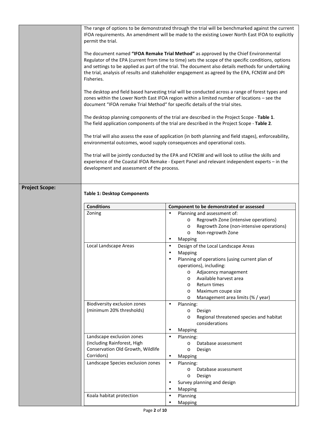|                       | The range of options to be demonstrated through the trial will be benchmarked against the current<br>IFOA requirements. An amendment will be made to the existing Lower North East IFOA to explicitly<br>permit the trial.                                                                                                                                                                                       |                                                                      |  |
|-----------------------|------------------------------------------------------------------------------------------------------------------------------------------------------------------------------------------------------------------------------------------------------------------------------------------------------------------------------------------------------------------------------------------------------------------|----------------------------------------------------------------------|--|
|                       | The document named "IFOA Remake Trial Method" as approved by the Chief Environmental<br>Regulator of the EPA (current from time to time) sets the scope of the specific conditions, options<br>and settings to be applied as part of the trial. The document also details methods for undertaking<br>the trial, analysis of results and stakeholder engagement as agreed by the EPA, FCNSW and DPI<br>Fisheries. |                                                                      |  |
|                       | The desktop and field based harvesting trial will be conducted across a range of forest types and<br>zones within the Lower North East IFOA region within a limited number of locations - see the<br>document "IFOA remake Trial Method" for specific details of the trial sites.                                                                                                                                |                                                                      |  |
|                       | The desktop planning components of the trial are described in the Project Scope - Table 1.<br>The field application components of the trial are described in the Project Scope - Table 2.<br>The trial will also assess the ease of application (in both planning and field stages), enforceability,<br>environmental outcomes, wood supply consequences and operational costs.                                  |                                                                      |  |
|                       |                                                                                                                                                                                                                                                                                                                                                                                                                  |                                                                      |  |
|                       | The trial will be jointly conducted by the EPA and FCNSW and will look to utilise the skills and<br>experience of the Coastal IFOA Remake - Expert Panel and relevant independent experts - in the<br>development and assessment of the process.                                                                                                                                                                 |                                                                      |  |
| <b>Project Scope:</b> |                                                                                                                                                                                                                                                                                                                                                                                                                  |                                                                      |  |
|                       | <b>Table 1: Desktop Components</b>                                                                                                                                                                                                                                                                                                                                                                               |                                                                      |  |
|                       | <b>Conditions</b>                                                                                                                                                                                                                                                                                                                                                                                                | Component to be demonstrated or assessed                             |  |
|                       | Zoning                                                                                                                                                                                                                                                                                                                                                                                                           | Planning and assessment of:<br>٠                                     |  |
|                       |                                                                                                                                                                                                                                                                                                                                                                                                                  |                                                                      |  |
|                       |                                                                                                                                                                                                                                                                                                                                                                                                                  | Regrowth Zone (intensive operations)<br>$\circ$                      |  |
|                       |                                                                                                                                                                                                                                                                                                                                                                                                                  | Regrowth Zone (non-intensive operations)<br>$\circ$                  |  |
|                       |                                                                                                                                                                                                                                                                                                                                                                                                                  | Non-regrowth Zone<br>$\circ$                                         |  |
|                       |                                                                                                                                                                                                                                                                                                                                                                                                                  | Mapping<br>٠                                                         |  |
|                       | Local Landscape Areas                                                                                                                                                                                                                                                                                                                                                                                            | Design of the Local Landscape Areas<br>$\bullet$                     |  |
|                       |                                                                                                                                                                                                                                                                                                                                                                                                                  | Mapping<br>$\bullet$                                                 |  |
|                       |                                                                                                                                                                                                                                                                                                                                                                                                                  | Planning of operations (using current plan of                        |  |
|                       |                                                                                                                                                                                                                                                                                                                                                                                                                  | operations), including:                                              |  |
|                       |                                                                                                                                                                                                                                                                                                                                                                                                                  | Adjacency management<br>$\circ$<br>Available harvest area<br>$\circ$ |  |
|                       |                                                                                                                                                                                                                                                                                                                                                                                                                  | Return times<br>$\circ$                                              |  |
|                       |                                                                                                                                                                                                                                                                                                                                                                                                                  | Maximum coupe size<br>$\circ$                                        |  |
|                       |                                                                                                                                                                                                                                                                                                                                                                                                                  | Management area limits (% / year)<br>$\circ$                         |  |
|                       | Biodiversity exclusion zones                                                                                                                                                                                                                                                                                                                                                                                     | Planning:<br>$\bullet$                                               |  |
|                       | (minimum 20% thresholds)                                                                                                                                                                                                                                                                                                                                                                                         | Design<br>$\circ$                                                    |  |
|                       |                                                                                                                                                                                                                                                                                                                                                                                                                  | Regional threatened species and habitat<br>$\circ$                   |  |
|                       |                                                                                                                                                                                                                                                                                                                                                                                                                  | considerations<br>٠                                                  |  |
|                       |                                                                                                                                                                                                                                                                                                                                                                                                                  | Mapping<br>$\bullet$                                                 |  |
|                       | Landscape exclusion zones<br>(including Rainforest, High                                                                                                                                                                                                                                                                                                                                                         | Planning:<br>Database assessment<br>$\circ$                          |  |
|                       | Conservation Old Growth, Wildlife                                                                                                                                                                                                                                                                                                                                                                                | Design<br>$\circ$                                                    |  |
|                       | Corridors)                                                                                                                                                                                                                                                                                                                                                                                                       | Mapping<br>$\bullet$                                                 |  |
|                       | Landscape Species exclusion zones                                                                                                                                                                                                                                                                                                                                                                                | Planning:<br>$\bullet$                                               |  |
|                       |                                                                                                                                                                                                                                                                                                                                                                                                                  | Database assessment<br>$\circ$                                       |  |
|                       |                                                                                                                                                                                                                                                                                                                                                                                                                  | Design<br>$\circ$                                                    |  |
|                       |                                                                                                                                                                                                                                                                                                                                                                                                                  | Survey planning and design<br>$\bullet$<br>$\bullet$                 |  |
|                       | Koala habitat protection                                                                                                                                                                                                                                                                                                                                                                                         | Mapping<br>Planning<br>$\bullet$                                     |  |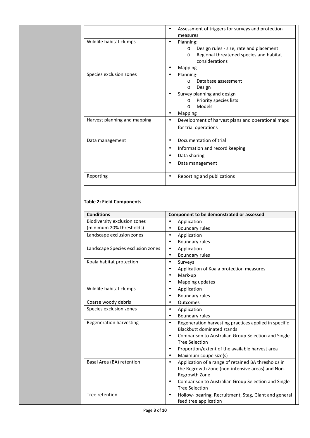|                              | Assessment of triggers for surveys and protection<br>measures                                                                                                                 |  |
|------------------------------|-------------------------------------------------------------------------------------------------------------------------------------------------------------------------------|--|
| Wildlife habitat clumps      | Planning:<br>$\bullet$<br>Design rules - size, rate and placement<br>$\circ$<br>Regional threatened species and habitat<br>$\Omega$<br>considerations<br><b>Mapping</b>       |  |
| Species exclusion zones      | Planning:<br>Database assessment<br>$\Omega$<br>Design<br>$\circ$<br>Survey planning and design<br>Priority species lists<br>C<br><b>Models</b><br>$\Omega$<br><b>Mapping</b> |  |
| Harvest planning and mapping | Development of harvest plans and operational maps<br>$\bullet$<br>for trial operations                                                                                        |  |
| Data management              | Documentation of trial<br>$\bullet$<br>Information and record keeping<br>٠<br>Data sharing<br>$\bullet$<br>Data management                                                    |  |
| Reporting                    | Reporting and publications<br>$\bullet$                                                                                                                                       |  |

#### **Table 2: Field Components**

| <b>Conditions</b>                 | Component to be demonstrated or assessed                           |
|-----------------------------------|--------------------------------------------------------------------|
| Biodiversity exclusion zones      | Application<br>$\bullet$                                           |
| (minimum 20% thresholds)          | Boundary rules<br>$\bullet$                                        |
| Landscape exclusion zones         | Application<br>$\bullet$                                           |
|                                   | <b>Boundary rules</b><br>$\bullet$                                 |
| Landscape Species exclusion zones | Application<br>$\bullet$                                           |
|                                   | Boundary rules<br>$\bullet$                                        |
| Koala habitat protection          | Surveys<br>$\bullet$                                               |
|                                   | Application of Koala protection measures<br>٠                      |
|                                   | Mark-up<br>$\bullet$                                               |
|                                   | Mapping updates                                                    |
| Wildlife habitat clumps           | Application<br>$\bullet$                                           |
|                                   | Boundary rules<br>$\bullet$                                        |
| Coarse woody debris               | Outcomes<br>$\bullet$                                              |
| Species exclusion zones           | Application<br>$\bullet$                                           |
|                                   | <b>Boundary rules</b><br>$\bullet$                                 |
| Regeneration harvesting           | Regeneration harvesting practices applied in specific<br>$\bullet$ |
|                                   | <b>Blackbutt dominated stands</b>                                  |
|                                   | Comparison to Australian Group Selection and Single<br>$\bullet$   |
|                                   | <b>Tree Selection</b>                                              |
|                                   | Proportion/extent of the available harvest area<br>$\bullet$       |
|                                   | Maximum coupe size(s)<br>$\bullet$                                 |
| Basal Area (BA) retention         | Application of a range of retained BA thresholds in<br>$\bullet$   |
|                                   | the Regrowth Zone (non-intensive areas) and Non-                   |
|                                   | Regrowth Zone                                                      |
|                                   | Comparison to Australian Group Selection and Single                |
|                                   | <b>Tree Selection</b>                                              |
| Tree retention                    | Hollow- bearing, Recruitment, Stag, Giant and general<br>$\bullet$ |
|                                   | feed tree application                                              |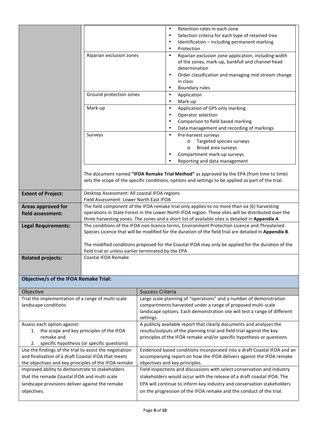|                                                         |                                                                                                                                                                                                        | Retention rates in each zone<br>$\bullet$                                                                                                                                                       |
|---------------------------------------------------------|--------------------------------------------------------------------------------------------------------------------------------------------------------------------------------------------------------|-------------------------------------------------------------------------------------------------------------------------------------------------------------------------------------------------|
|                                                         |                                                                                                                                                                                                        | Selection criteria for each type of retained tree<br>$\bullet$                                                                                                                                  |
|                                                         |                                                                                                                                                                                                        | Identification - including permanent marking<br>٠                                                                                                                                               |
|                                                         | Riparian exclusion zones                                                                                                                                                                               | Protection<br>$\bullet$                                                                                                                                                                         |
|                                                         |                                                                                                                                                                                                        | Riparian exclusion zone application, including width<br>$\bullet$<br>of the zones, mark-up, bankfull and channel head                                                                           |
|                                                         |                                                                                                                                                                                                        | determination                                                                                                                                                                                   |
|                                                         |                                                                                                                                                                                                        | Order classification and managing mid-stream change<br>$\bullet$                                                                                                                                |
|                                                         |                                                                                                                                                                                                        | in class                                                                                                                                                                                        |
|                                                         |                                                                                                                                                                                                        | Boundary rules<br>$\bullet$                                                                                                                                                                     |
|                                                         | Ground protection zones                                                                                                                                                                                | Application<br>$\bullet$                                                                                                                                                                        |
|                                                         |                                                                                                                                                                                                        | Mark-up<br>٠                                                                                                                                                                                    |
|                                                         | Mark-up                                                                                                                                                                                                | Application of GPS only marking<br>$\bullet$                                                                                                                                                    |
|                                                         |                                                                                                                                                                                                        | Operator selection<br>$\bullet$                                                                                                                                                                 |
|                                                         |                                                                                                                                                                                                        | Comparison to field based marking<br>٠                                                                                                                                                          |
|                                                         |                                                                                                                                                                                                        | Data management and recording of markings<br>$\bullet$                                                                                                                                          |
|                                                         | Surveys                                                                                                                                                                                                | Pre-harvest surveys<br>$\bullet$                                                                                                                                                                |
|                                                         |                                                                                                                                                                                                        | Targeted species surveys<br>$\circ$                                                                                                                                                             |
|                                                         |                                                                                                                                                                                                        | Broad area surveys<br>$\circ$                                                                                                                                                                   |
|                                                         |                                                                                                                                                                                                        | Compartment mark-up surveys                                                                                                                                                                     |
|                                                         |                                                                                                                                                                                                        | Reporting and data management                                                                                                                                                                   |
|                                                         |                                                                                                                                                                                                        |                                                                                                                                                                                                 |
|                                                         |                                                                                                                                                                                                        | The document named "IFOA Remake Trial Method" as approved by the EPA (from time to time)<br>sets the scope of the specific conditions, options and settings to be applied as part of the trial. |
| <b>Extent of Project:</b>                               | Desktop Assessment: All coastal IFOA regions<br>Field Assessment: Lower North East IFOA                                                                                                                |                                                                                                                                                                                                 |
| Areas approved for                                      | The field component of the IFOA remake trial only applies to no more than six (6) harvesting                                                                                                           |                                                                                                                                                                                                 |
| field assessment:                                       | operations in State Forest in the Lower North IFOA region. These sites will be distributed over the<br>three harvesting zones. The zones and a short list of available sites is detailed in Appendix A |                                                                                                                                                                                                 |
| <b>Legal Requirements:</b>                              | The conditions of the IFOA non-licence terms, Environment Protection Licence and Threatened                                                                                                            |                                                                                                                                                                                                 |
|                                                         |                                                                                                                                                                                                        | Species Licence that will be modified for the duration of the field trial are detailed in Appendix B.                                                                                           |
|                                                         |                                                                                                                                                                                                        |                                                                                                                                                                                                 |
|                                                         |                                                                                                                                                                                                        | The modified conditions proposed for the Coastal IFOA may only be applied for the duration of the                                                                                               |
|                                                         | field trial or unless earlier terminated by the EPA                                                                                                                                                    |                                                                                                                                                                                                 |
| <b>Related projects:</b>                                | Coastal IFOA Remake                                                                                                                                                                                    |                                                                                                                                                                                                 |
|                                                         |                                                                                                                                                                                                        |                                                                                                                                                                                                 |
|                                                         |                                                                                                                                                                                                        |                                                                                                                                                                                                 |
| <b>Objective/s of the IFOA Remake Trial:</b>            |                                                                                                                                                                                                        |                                                                                                                                                                                                 |
| Objective                                               |                                                                                                                                                                                                        | <b>Success Criteria</b>                                                                                                                                                                         |
| Trial the implementation of a range of multi-scale      |                                                                                                                                                                                                        | Large scale planning of "operations" and a number of demonstration                                                                                                                              |
| landscape conditions                                    |                                                                                                                                                                                                        | compartments harvested under a range of proposed multi-scale                                                                                                                                    |
|                                                         |                                                                                                                                                                                                        | landscape options. Each demonstration site will test a range of different                                                                                                                       |
| Assess each option against:                             |                                                                                                                                                                                                        | settings.<br>A publicly available report that clearly documents and analyses the                                                                                                                |
| the scope and key principles of the IFOA<br>1.          |                                                                                                                                                                                                        | results/outputs of the planning trial and field trial against the key                                                                                                                           |
| remake and                                              |                                                                                                                                                                                                        | principles of the IFOA remake and/or specific hypothesis or questions                                                                                                                           |
| specific hypothesis (or specific questions)<br>2.       |                                                                                                                                                                                                        |                                                                                                                                                                                                 |
| Use the findings of the trial to assist the negotiation |                                                                                                                                                                                                        | Evidenced based conditions incorporated into a draft Coastal IFOA and an                                                                                                                        |
| and finalisation of a draft Coastal IFOA that meets     |                                                                                                                                                                                                        | accompanying report on how the IFOA delivers against the IFOA remake                                                                                                                            |
| the objectives and key principles of the IFOA remake    |                                                                                                                                                                                                        | objectives and key principles.                                                                                                                                                                  |
| Improved ability to demonstrate to stakeholders         |                                                                                                                                                                                                        | Field inspections and discussions with select conservation and industry                                                                                                                         |
| that the remade Coastal IFOA and multi scale            |                                                                                                                                                                                                        | stakeholders would occur with the release of a draft coastal IFOA. The                                                                                                                          |
| landscape provisions deliver against the remake         |                                                                                                                                                                                                        | EPA will continue to inform key industry and conservation stakeholders                                                                                                                          |
|                                                         |                                                                                                                                                                                                        |                                                                                                                                                                                                 |
| objectives.                                             |                                                                                                                                                                                                        | on the progression of the IFOA remake and the conduct of the trial.                                                                                                                             |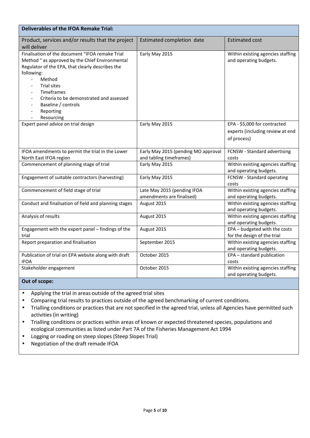| <b>Deliverables of the IFOA Remake Trial:</b>                                                                                                                                                                                                                                                                                                                   |                                                                |                                                                                 |
|-----------------------------------------------------------------------------------------------------------------------------------------------------------------------------------------------------------------------------------------------------------------------------------------------------------------------------------------------------------------|----------------------------------------------------------------|---------------------------------------------------------------------------------|
| Product, services and/or results that the project<br>will deliver                                                                                                                                                                                                                                                                                               | Estimated completion date                                      | <b>Estimated cost</b>                                                           |
| Finalisation of the document "IFOA remake Trial<br>Method " as approved by the Chief Environmental<br>Regulator of the EPA, that clearly describes the<br>following:<br>Method<br>$\overline{a}$<br>Trial sites<br>Timeframes<br>Criteria to be demonstrated and assessed<br>$\overline{a}$<br>Baseline / controls<br>Reporting<br>Resourcing<br>$\overline{a}$ | Early May 2015                                                 | Within existing agencies staffing<br>and operating budgets.                     |
| Expert panel advice on trial design                                                                                                                                                                                                                                                                                                                             | Early May 2015                                                 | EPA - \$5,000 for contracted<br>experts (including review at end<br>of process) |
| IFOA amendments to permit the trial in the Lower<br>North East IFOA region                                                                                                                                                                                                                                                                                      | Early May 2015 (pending MO approval<br>and tabling timeframes) | FCNSW - Standard advertising<br>costs                                           |
| Commencement of planning stage of trial                                                                                                                                                                                                                                                                                                                         | Early May 2015                                                 | Within existing agencies staffing<br>and operating budgets.                     |
| Engagement of suitable contractors (harvesting)                                                                                                                                                                                                                                                                                                                 | Early May 2015                                                 | FCNSW - Standard operating<br>costs                                             |
| Commencement of field stage of trial                                                                                                                                                                                                                                                                                                                            | Late May 2015 (pending IFOA<br>amendments are finalised)       | Within existing agencies staffing<br>and operating budgets.                     |
| Conduct and finalisation of field and planning stages                                                                                                                                                                                                                                                                                                           | August 2015                                                    | Within existing agencies staffing<br>and operating budgets.                     |
| Analysis of results                                                                                                                                                                                                                                                                                                                                             | August 2015                                                    | Within existing agencies staffing<br>and operating budgets.                     |
| Engagement with the expert panel - findings of the<br>trial                                                                                                                                                                                                                                                                                                     | August 2015                                                    | EPA - budgeted with the costs<br>for the design of the trial                    |
| Report preparation and finalisation                                                                                                                                                                                                                                                                                                                             | September 2015                                                 | Within existing agencies staffing<br>and operating budgets.                     |
| Publication of trial on EPA website along with draft<br><b>IFOA</b>                                                                                                                                                                                                                                                                                             | October 2015                                                   | EPA - standard publication<br>costs                                             |
| Stakeholder engagement<br>$\sim$ $\sim$                                                                                                                                                                                                                                                                                                                         | October 2015                                                   | Within existing agencies staffing<br>and operating budgets.                     |

#### **Out of scope:**

- Applying the trial in areas outside of the agreed trial sites
- Comparing trial results to practices outside of the agreed benchmarking of current conditions.
- Trialling conditions or practices that are not specified in the agreed trial, unless all Agencies have permitted such activities (in writing)
- Trialling conditions or practices within areas of known or expected threatened species, populations and ecological communities as listed under Part 7A of the Fisheries Management Act 1994
- Logging or roading on steep slopes (Steep Slopes Trial)
- Negotiation of the draft remade IFOA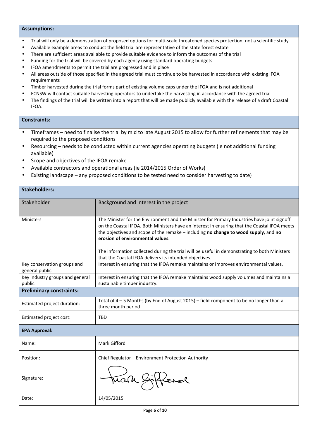#### **Assumptions:**

- Trial will only be a demonstration of proposed options for multi-scale threatened species protection, not a scientific study
- Available example areas to conduct the field trial are representative of the state forest estate
- There are sufficient areas available to provide suitable evidence to inform the outcomes of the trial
- Funding for the trial will be covered by each agency using standard operating budgets
- IFOA amendments to permit the trial are progressed and in place
- All areas outside of those specified in the agreed trial must continue to be harvested in accordance with existing IFOA requirements
- Timber harvested during the trial forms part of existing volume caps under the IFOA and is not additional
- FCNSW will contact suitable harvesting operators to undertake the harvesting in accordance with the agreed trial
- The findings of the trial will be written into a report that will be made publicly available with the release of a draft Coastal IFOA.

#### **Constraints:**

- Timeframes need to finalise the trial by mid to late August 2015 to allow for further refinements that may be required to the proposed conditions
- Resourcing needs to be conducted within current agencies operating budgets (ie not additional funding available)
- Scope and objectives of the IFOA remake
- Available contractors and operational areas (ie 2014/2015 Order of Works)
- Existing landscape any proposed conditions to be tested need to consider harvesting to date)

| <b>Stakeholders:</b>                          |                                                                                                                                                                                                                                                                                                                                                                                                                                                                                   |
|-----------------------------------------------|-----------------------------------------------------------------------------------------------------------------------------------------------------------------------------------------------------------------------------------------------------------------------------------------------------------------------------------------------------------------------------------------------------------------------------------------------------------------------------------|
| Stakeholder                                   | Background and interest in the project                                                                                                                                                                                                                                                                                                                                                                                                                                            |
| <b>Ministers</b>                              | The Minister for the Environment and the Minister for Primary Industries have joint signoff<br>on the Coastal IFOA. Both Ministers have an interest in ensuring that the Coastal IFOA meets<br>the objectives and scope of the remake - including no change to wood supply, and no<br>erosion of environmental values.<br>The information collected during the trial will be useful in demonstrating to both Ministers<br>that the Coastal IFOA delivers its intended objectives. |
| Key conservation groups and<br>general public | Interest in ensuring that the IFOA remake maintains or improves environmental values.                                                                                                                                                                                                                                                                                                                                                                                             |
| Key industry groups and general<br>public     | Interest in ensuring that the IFOA remake maintains wood supply volumes and maintains a<br>sustainable timber industry.                                                                                                                                                                                                                                                                                                                                                           |
| <b>Preliminary constraints:</b>               |                                                                                                                                                                                                                                                                                                                                                                                                                                                                                   |
| Estimated project duration:                   | Total of $4 - 5$ Months (by End of August 2015) – field component to be no longer than a<br>three month period                                                                                                                                                                                                                                                                                                                                                                    |
| Estimated project cost:                       | <b>TRD</b>                                                                                                                                                                                                                                                                                                                                                                                                                                                                        |
| <b>EPA Approval:</b>                          |                                                                                                                                                                                                                                                                                                                                                                                                                                                                                   |
| Name:                                         | Mark Gifford                                                                                                                                                                                                                                                                                                                                                                                                                                                                      |
| Position:                                     | Chief Regulator - Environment Protection Authority                                                                                                                                                                                                                                                                                                                                                                                                                                |
| Signature:                                    | Mark &                                                                                                                                                                                                                                                                                                                                                                                                                                                                            |
| Date:                                         | 14/05/2015                                                                                                                                                                                                                                                                                                                                                                                                                                                                        |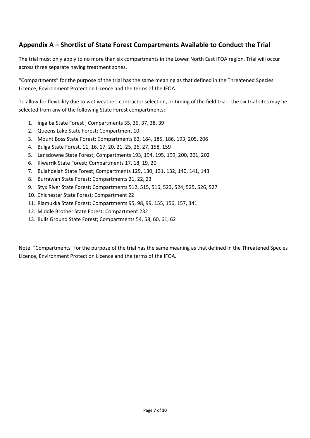### **Appendix A – Shortlist of State Forest Compartments Available to Conduct the Trial**

The trial must only apply to no more than six compartments in the Lower North East IFOA region. Trial will occur across three separate having treatment zones.

"Compartments" for the purpose of the trial has the same meaning as that defined in the Threatened Species Licence, Environment Protection Licence and the terms of the IFOA.

To allow for flexibility due to wet weather, contractor selection, or timing of the field trial - the six trial sites may be selected from any of the following State Forest compartments:

- 1. Ingalba State Forest ; Compartments 35, 36, 37, 38, 39
- 2. Queens Lake State Forest; Compartment 10
- 3. Mount Boss State Forest; Compartments 62, 184, 185, 186, 193, 205, 206
- 4. Bulga State Forest, 11, 16, 17, 20, 21, 25, 26, 27, 158, 159
- 5. Lansdowne State Forest; Compartments 193, 194, 195, 199, 200, 201, 202
- 6. Kiwarrik State Forest; Compartments 17, 18, 19, 20
- 7. Bulahdelah State Forest; Compartments 129, 130, 131, 132, 140, 141, 143
- 8. Burrawan State Forest; Compartments 21, 22, 23
- 9. Styx River State Forest; Compartments 512, 515, 516, 523, 524, 525, 526, 527
- 10. Chichester State Forest; Compartment 22
- 11. Riamukka State Forest; Compartments 95, 98, 99, 155, 156, 157, 341
- 12. Middle Brother State Forest; Compartment 232
- 13. Bulls Ground State Forest; Compartments 54, 58, 60, 61, 62

Note: "Compartments" for the purpose of the trial has the same meaning as that defined in the Threatened Species Licence, Environment Protection Licence and the terms of the IFOA.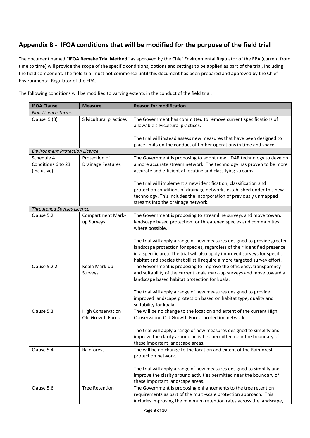## **Appendix B - IFOA conditions that will be modified for the purpose of the field trial**

The document named **"IFOA Remake Trial Method"** as approved by the Chief Environmental Regulator of the EPA (current from time to time) will provide the scope of the specific conditions, options and settings to be applied as part of the trial, including the field component. The field trial must not commence until this document has been prepared and approved by the Chief Environmental Regulator of the EPA.

| IFUA CIAUSE                           | <u>ivieasule</u>                       | ווטוווועטווונאנוטווואס                                                                                                                                                                                                                                                                                             |
|---------------------------------------|----------------------------------------|--------------------------------------------------------------------------------------------------------------------------------------------------------------------------------------------------------------------------------------------------------------------------------------------------------------------|
| <b>Non-Licence Terms</b>              |                                        |                                                                                                                                                                                                                                                                                                                    |
| Clause $5(3)$                         | Silvicultural practices                | The Government has committed to remove current specifications of<br>allowable silvicultural practices.                                                                                                                                                                                                             |
|                                       |                                        | The trial will instead assess new measures that have been designed to<br>place limits on the conduct of timber operations in time and space.                                                                                                                                                                       |
| <b>Environment Protection Licence</b> |                                        |                                                                                                                                                                                                                                                                                                                    |
| Schedule 4-                           | Protection of                          | The Government is proposing to adopt new LiDAR technology to develop                                                                                                                                                                                                                                               |
| Conditions 6 to 23<br>(inclusive)     | <b>Drainage Features</b>               | a more accurate stream network. The technology has proven to be more<br>accurate and efficient at locating and classifying streams.                                                                                                                                                                                |
|                                       |                                        | The trial will implement a new identification, classification and<br>protection conditions of drainage networks established under this new<br>technology. This includes the incorporation of previously unmapped<br>streams into the drainage network.                                                             |
| <b>Threatened Species Licence</b>     |                                        |                                                                                                                                                                                                                                                                                                                    |
| Clause 5.2                            | <b>Compartment Mark-</b><br>up Surveys | The Government is proposing to streamline surveys and move toward<br>landscape based protection for threatened species and communities<br>where possible.                                                                                                                                                          |
|                                       |                                        | The trial will apply a range of new measures designed to provide greater<br>landscape protection for species, regardless of their identified presence<br>in a specific area. The trial will also apply improved surveys for specific<br>habitat and species that sill still require a more targeted survey effort. |
| Clause 5.2.2                          | Koala Mark-up<br>Surveys               | The Government is proposing to improve the efficiency, transparency<br>and suitability of the current koala mark-up surveys and move toward a<br>landscape based habitat protection for koala.                                                                                                                     |
|                                       |                                        | The trial will apply a range of new measures designed to provide<br>improved landscape protection based on habitat type, quality and<br>suitability for koala.                                                                                                                                                     |
| Clause 5.3                            | <b>High Conservation</b>               | The will be no change to the location and extent of the current High                                                                                                                                                                                                                                               |
|                                       | Old Growth Forest                      | Conservation Old Growth Forest protection network.<br>The trial will apply a range of new measures designed to simplify and                                                                                                                                                                                        |
|                                       |                                        | improve the clarity around activities permitted near the boundary of<br>these important landscape areas.                                                                                                                                                                                                           |
| Clause 5.4                            | Rainforest                             | The will be no change to the location and extent of the Rainforest<br>protection network.                                                                                                                                                                                                                          |
|                                       |                                        | The trial will apply a range of new measures designed to simplify and<br>improve the clarity around activities permitted near the boundary of<br>these important landscape areas.                                                                                                                                  |
| Clause 5.6                            | <b>Tree Retention</b>                  | The Government is proposing enhancements to the tree retention<br>requirements as part of the multi-scale protection approach. This<br>includes improving the minimum retention rates across the landscape,                                                                                                        |

The following conditions will be modified to varying extents in the conduct of the field trial:

**IFOA Clause Measure Reason for modification**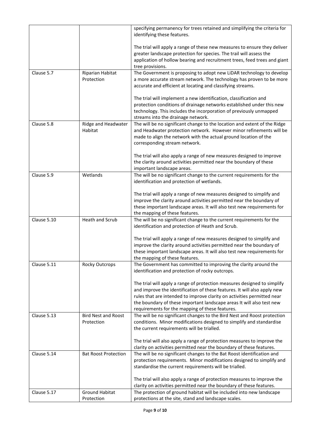|             |                                          | specifying permanency for trees retained and simplifying the criteria for<br>identifying these features.                                                                                                                                                                                                                                                    |
|-------------|------------------------------------------|-------------------------------------------------------------------------------------------------------------------------------------------------------------------------------------------------------------------------------------------------------------------------------------------------------------------------------------------------------------|
|             |                                          | The trial will apply a range of these new measures to ensure they deliver<br>greater landscape protection for species. The trail will assess the<br>application of hollow bearing and recruitment trees, feed trees and giant<br>tree provisions.                                                                                                           |
| Clause 5.7  | Riparian Habitat<br>Protection           | The Government is proposing to adopt new LiDAR technology to develop<br>a more accurate stream network. The technology has proven to be more<br>accurate and efficient at locating and classifying streams.                                                                                                                                                 |
|             |                                          | The trial will implement a new identification, classification and<br>protection conditions of drainage networks established under this new<br>technology. This includes the incorporation of previously unmapped<br>streams into the drainage network.                                                                                                      |
| Clause 5.8  | Ridge and Headwater                      | The will be no significant change to the location and extent of the Ridge                                                                                                                                                                                                                                                                                   |
|             | Habitat                                  | and Headwater protection network. However minor refinements will be<br>made to align the network with the actual ground location of the<br>corresponding stream network.                                                                                                                                                                                    |
|             |                                          | The trial will also apply a range of new measures designed to improve<br>the clarity around activities permitted near the boundary of these<br>important landscape areas.                                                                                                                                                                                   |
| Clause 5.9  | Wetlands                                 | The will be no significant change to the current requirements for the<br>identification and protection of wetlands.                                                                                                                                                                                                                                         |
|             |                                          | The trial will apply a range of new measures designed to simplify and<br>improve the clarity around activities permitted near the boundary of<br>these important landscape areas. It will also test new requirements for<br>the mapping of these features.                                                                                                  |
| Clause 5.10 | <b>Heath and Scrub</b>                   | The will be no significant change to the current requirements for the<br>identification and protection of Heath and Scrub.                                                                                                                                                                                                                                  |
|             |                                          | The trial will apply a range of new measures designed to simplify and<br>improve the clarity around activities permitted near the boundary of<br>these important landscape areas. It will also test new requirements for<br>the mapping of these features.                                                                                                  |
| Clause 5.11 | <b>Rocky Outcrops</b>                    | The Government has committed to improving the clarity around the<br>identification and protection of rocky outcrops.                                                                                                                                                                                                                                        |
|             |                                          | The trial will apply a range of protection measures designed to simplify<br>and improve the identification of these features. It will also apply new<br>rules that are intended to improve clarity on activities permitted near<br>the boundary of these important landscape areas It will also test new<br>requirements for the mapping of these features. |
| Clause 5.13 | <b>Bird Nest and Roost</b><br>Protection | The will be no significant changes to the Bird Nest and Roost protection<br>conditions. Minor modifications designed to simplify and standardise<br>the current requirements will be trialled.                                                                                                                                                              |
|             |                                          | The trial will also apply a range of protection measures to improve the<br>clarity on activities permitted near the boundary of these features.                                                                                                                                                                                                             |
| Clause 5.14 | <b>Bat Roost Protection</b>              | The will be no significant changes to the Bat Roost identification and<br>protection requirements. Minor modifications designed to simplify and<br>standardise the current requirements will be trialled.                                                                                                                                                   |
|             |                                          | The trial will also apply a range of protection measures to improve the<br>clarity on activities permitted near the boundary of these features.                                                                                                                                                                                                             |
| Clause 5.17 | <b>Ground Habitat</b>                    | The protection of ground habitat will be included into new landscape                                                                                                                                                                                                                                                                                        |
|             | Protection                               | protections at the site, stand and landscape scales.                                                                                                                                                                                                                                                                                                        |